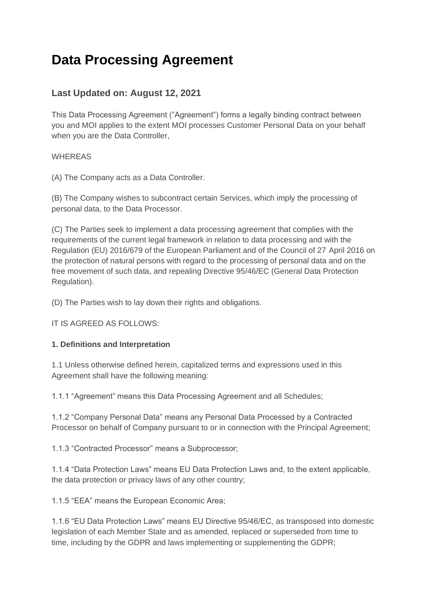# **Data Processing Agreement**

# **Last Updated on: August 12, 2021**

This Data Processing Agreement ("Agreement") forms a legally binding contract between you and MOI applies to the extent MOI processes Customer Personal Data on your behalf when you are the Data Controller,

### WHEREAS

(A) The Company acts as a Data Controller.

(B) The Company wishes to subcontract certain Services, which imply the processing of personal data, to the Data Processor.

(C) The Parties seek to implement a data processing agreement that complies with the requirements of the current legal framework in relation to data processing and with the Regulation (EU) 2016/679 of the European Parliament and of the Council of 27 April 2016 on the protection of natural persons with regard to the processing of personal data and on the free movement of such data, and repealing Directive 95/46/EC (General Data Protection Regulation).

(D) The Parties wish to lay down their rights and obligations.

IT IS AGREED AS FOLLOWS:

### **1. Definitions and Interpretation**

1.1 Unless otherwise defined herein, capitalized terms and expressions used in this Agreement shall have the following meaning:

1.1.1 "Agreement" means this Data Processing Agreement and all Schedules;

1.1.2 "Company Personal Data" means any Personal Data Processed by a Contracted Processor on behalf of Company pursuant to or in connection with the Principal Agreement;

1.1.3 "Contracted Processor" means a Subprocessor;

1.1.4 "Data Protection Laws" means EU Data Protection Laws and, to the extent applicable, the data protection or privacy laws of any other country;

1.1.5 "EEA" means the European Economic Area;

1.1.6 "EU Data Protection Laws" means EU Directive 95/46/EC, as transposed into domestic legislation of each Member State and as amended, replaced or superseded from time to time, including by the GDPR and laws implementing or supplementing the GDPR;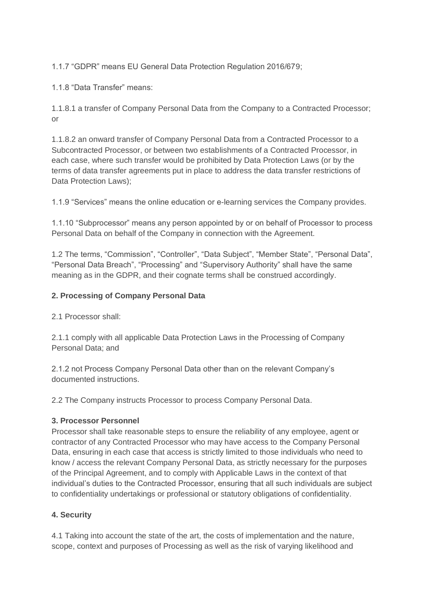1.1.7 "GDPR" means EU General Data Protection Regulation 2016/679;

1.1.8 "Data Transfer" means:

1.1.8.1 a transfer of Company Personal Data from the Company to a Contracted Processor; or

1.1.8.2 an onward transfer of Company Personal Data from a Contracted Processor to a Subcontracted Processor, or between two establishments of a Contracted Processor, in each case, where such transfer would be prohibited by Data Protection Laws (or by the terms of data transfer agreements put in place to address the data transfer restrictions of Data Protection Laws);

1.1.9 "Services" means the online education or e-learning services the Company provides.

1.1.10 "Subprocessor" means any person appointed by or on behalf of Processor to process Personal Data on behalf of the Company in connection with the Agreement.

1.2 The terms, "Commission", "Controller", "Data Subject", "Member State", "Personal Data", "Personal Data Breach", "Processing" and "Supervisory Authority" shall have the same meaning as in the GDPR, and their cognate terms shall be construed accordingly.

#### **2. Processing of Company Personal Data**

2.1 Processor shall:

2.1.1 comply with all applicable Data Protection Laws in the Processing of Company Personal Data; and

2.1.2 not Process Company Personal Data other than on the relevant Company's documented instructions.

2.2 The Company instructs Processor to process Company Personal Data.

### **3. Processor Personnel**

Processor shall take reasonable steps to ensure the reliability of any employee, agent or contractor of any Contracted Processor who may have access to the Company Personal Data, ensuring in each case that access is strictly limited to those individuals who need to know / access the relevant Company Personal Data, as strictly necessary for the purposes of the Principal Agreement, and to comply with Applicable Laws in the context of that individual's duties to the Contracted Processor, ensuring that all such individuals are subject to confidentiality undertakings or professional or statutory obligations of confidentiality.

### **4. Security**

4.1 Taking into account the state of the art, the costs of implementation and the nature, scope, context and purposes of Processing as well as the risk of varying likelihood and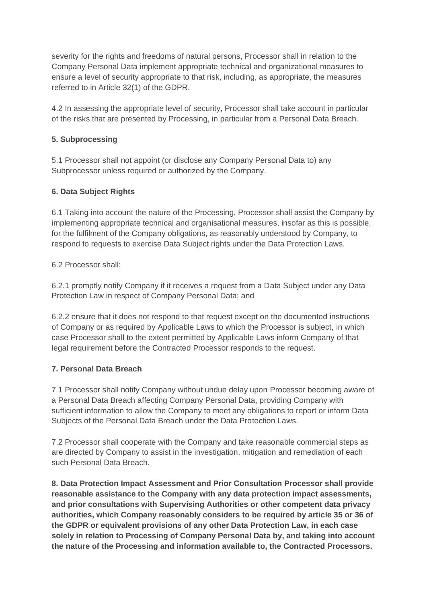severity for the rights and freedoms of natural persons, Processor shall in relation to the Company Personal Data implement appropriate technical and organizational measures to ensure a level of security appropriate to that risk, including, as appropriate, the measures referred to in Article 32(1) of the GDPR.

4.2 In assessing the appropriate level of security, Processor shall take account in particular of the risks that are presented by Processing, in particular from a Personal Data Breach.

#### **5. Subprocessing**

5.1 Processor shall not appoint (or disclose any Company Personal Data to) any Subprocessor unless required or authorized by the Company.

### **6. Data Subject Rights**

6.1 Taking into account the nature of the Processing, Processor shall assist the Company by implementing appropriate technical and organisational measures, insofar as this is possible, for the fulfilment of the Company obligations, as reasonably understood by Company, to respond to requests to exercise Data Subject rights under the Data Protection Laws.

6.2 Processor shall:

6.2.1 promptly notify Company if it receives a request from a Data Subject under any Data Protection Law in respect of Company Personal Data; and

6.2.2 ensure that it does not respond to that request except on the documented instructions of Company or as required by Applicable Laws to which the Processor is subject, in which case Processor shall to the extent permitted by Applicable Laws inform Company of that legal requirement before the Contracted Processor responds to the request.

### **7. Personal Data Breach**

7.1 Processor shall notify Company without undue delay upon Processor becoming aware of a Personal Data Breach affecting Company Personal Data, providing Company with sufficient information to allow the Company to meet any obligations to report or inform Data Subjects of the Personal Data Breach under the Data Protection Laws.

7.2 Processor shall cooperate with the Company and take reasonable commercial steps as are directed by Company to assist in the investigation, mitigation and remediation of each such Personal Data Breach.

**8. Data Protection Impact Assessment and Prior Consultation Processor shall provide reasonable assistance to the Company with any data protection impact assessments, and prior consultations with Supervising Authorities or other competent data privacy authorities, which Company reasonably considers to be required by article 35 or 36 of the GDPR or equivalent provisions of any other Data Protection Law, in each case solely in relation to Processing of Company Personal Data by, and taking into account the nature of the Processing and information available to, the Contracted Processors.**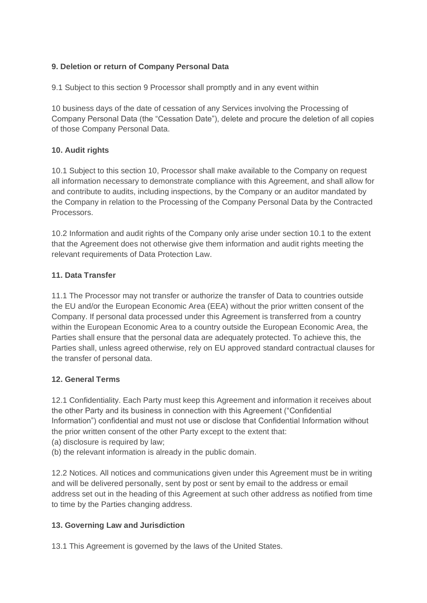## **9. Deletion or return of Company Personal Data**

9.1 Subject to this section 9 Processor shall promptly and in any event within

10 business days of the date of cessation of any Services involving the Processing of Company Personal Data (the "Cessation Date"), delete and procure the deletion of all copies of those Company Personal Data.

### **10. Audit rights**

10.1 Subject to this section 10, Processor shall make available to the Company on request all information necessary to demonstrate compliance with this Agreement, and shall allow for and contribute to audits, including inspections, by the Company or an auditor mandated by the Company in relation to the Processing of the Company Personal Data by the Contracted Processors.

10.2 Information and audit rights of the Company only arise under section 10.1 to the extent that the Agreement does not otherwise give them information and audit rights meeting the relevant requirements of Data Protection Law.

### **11. Data Transfer**

11.1 The Processor may not transfer or authorize the transfer of Data to countries outside the EU and/or the European Economic Area (EEA) without the prior written consent of the Company. If personal data processed under this Agreement is transferred from a country within the European Economic Area to a country outside the European Economic Area, the Parties shall ensure that the personal data are adequately protected. To achieve this, the Parties shall, unless agreed otherwise, rely on EU approved standard contractual clauses for the transfer of personal data.

### **12. General Terms**

12.1 Confidentiality. Each Party must keep this Agreement and information it receives about the other Party and its business in connection with this Agreement ("Confidential Information") confidential and must not use or disclose that Confidential Information without the prior written consent of the other Party except to the extent that:

- (a) disclosure is required by law;
- (b) the relevant information is already in the public domain.

12.2 Notices. All notices and communications given under this Agreement must be in writing and will be delivered personally, sent by post or sent by email to the address or email address set out in the heading of this Agreement at such other address as notified from time to time by the Parties changing address.

### **13. Governing Law and Jurisdiction**

13.1 This Agreement is governed by the laws of the United States.